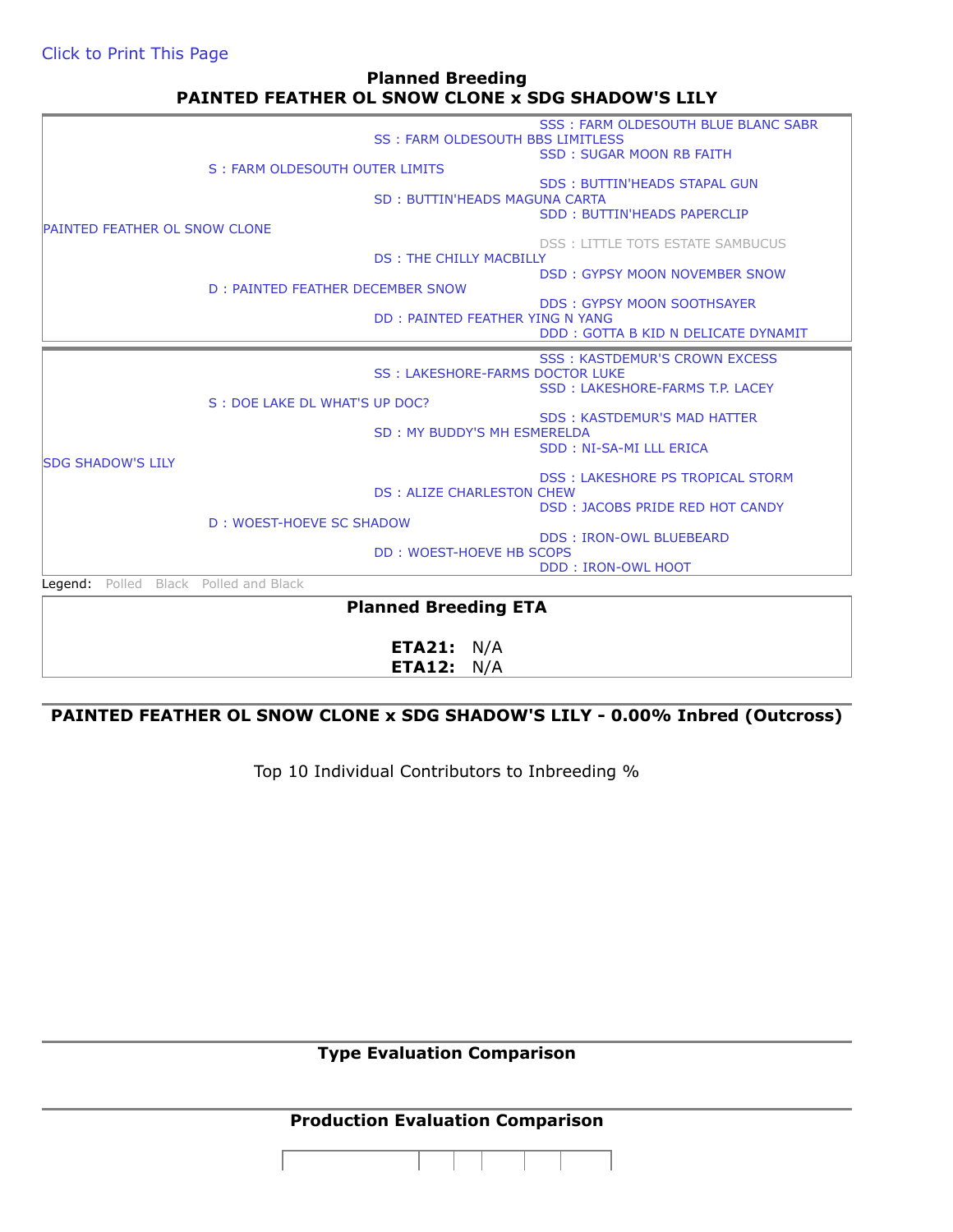## **Planned Breeding PAINTED FEATHER OL SNOW CLONE x SDG SHADOW'S LILY**

|                                      |                                  |                                        | <b>SSS: FARM OLDESOUTH BLUE BLANC SABR</b> |  |  |
|--------------------------------------|----------------------------------|----------------------------------------|--------------------------------------------|--|--|
|                                      |                                  | SS: FARM OLDESOUTH BBS LIMITLESS       |                                            |  |  |
|                                      | S: FARM OLDESOUTH OUTER LIMITS   |                                        | <b>SSD: SUGAR MOON RB FAITH</b>            |  |  |
|                                      |                                  |                                        |                                            |  |  |
|                                      |                                  |                                        | <b>SDS: BUTTIN'HEADS STAPAL GUN</b>        |  |  |
|                                      |                                  | SD: BUTTIN'HEADS MAGUNA CARTA          |                                            |  |  |
|                                      |                                  |                                        | <b>SDD: BUTTIN'HEADS PAPERCLIP</b>         |  |  |
| <b>PAINTED FEATHER OL SNOW CLONE</b> |                                  |                                        |                                            |  |  |
|                                      |                                  |                                        | <b>DSS: LITTLE TOTS ESTATE SAMBUCUS</b>    |  |  |
|                                      |                                  | <b>DS: THE CHILLY MACBILLY</b>         |                                            |  |  |
|                                      |                                  |                                        | <b>DSD: GYPSY MOON NOVEMBER SNOW</b>       |  |  |
|                                      | D: PAINTED FEATHER DECEMBER SNOW |                                        |                                            |  |  |
|                                      |                                  |                                        | <b>DDS: GYPSY MOON SOOTHSAYER</b>          |  |  |
|                                      |                                  | DD: PAINTED FEATHER YING N YANG        |                                            |  |  |
|                                      |                                  |                                        | DDD: GOTTA B KID N DELICATE DYNAMIT        |  |  |
|                                      |                                  |                                        | <b>SSS: KASTDEMUR'S CROWN EXCESS</b>       |  |  |
|                                      |                                  | <b>SS: LAKESHORE-FARMS DOCTOR LUKE</b> |                                            |  |  |
|                                      |                                  |                                        | SSD: LAKESHORE-FARMS T.P. LACEY            |  |  |
|                                      | S : DOE LAKE DL WHAT'S UP DOC?   |                                        |                                            |  |  |
|                                      |                                  |                                        | <b>SDS: KASTDEMUR'S MAD HATTER</b>         |  |  |
|                                      |                                  | SD: MY BUDDY'S MH ESMERELDA            |                                            |  |  |
|                                      |                                  |                                        |                                            |  |  |
|                                      |                                  |                                        | SDD: NI-SA-MI LLL ERICA                    |  |  |
| <b>SDG SHADOW'S LILY</b>             |                                  |                                        |                                            |  |  |
|                                      |                                  |                                        | <b>DSS: LAKESHORE PS TROPICAL STORM</b>    |  |  |
|                                      |                                  | <b>DS: ALIZE CHARLESTON CHEW</b>       |                                            |  |  |
|                                      |                                  |                                        | <b>DSD: JACOBS PRIDE RED HOT CANDY</b>     |  |  |
|                                      | D: WOEST-HOEVE SC SHADOW         |                                        |                                            |  |  |
|                                      |                                  |                                        | <b>DDS: IRON-OWL BLUEBEARD</b>             |  |  |
|                                      |                                  | <b>DD: WOEST-HOEVE HB SCOPS</b>        |                                            |  |  |
|                                      |                                  |                                        | <b>DDD: IRON-OWL HOOT</b>                  |  |  |
| Polled<br>Legend:                    | Black Polled and Black           |                                        |                                            |  |  |
|                                      |                                  | <b>Planned Breeding ETA</b>            |                                            |  |  |

**ETA21:** N/A **ETA12:** N/A

## **PAINTED FEATHER OL SNOW CLONE x SDG SHADOW'S LILY - 0.00% Inbred (Outcross)**

Top 10 Individual Contributors to Inbreeding %

**Type Evaluation Comparison**

## **Production Evaluation Comparison**